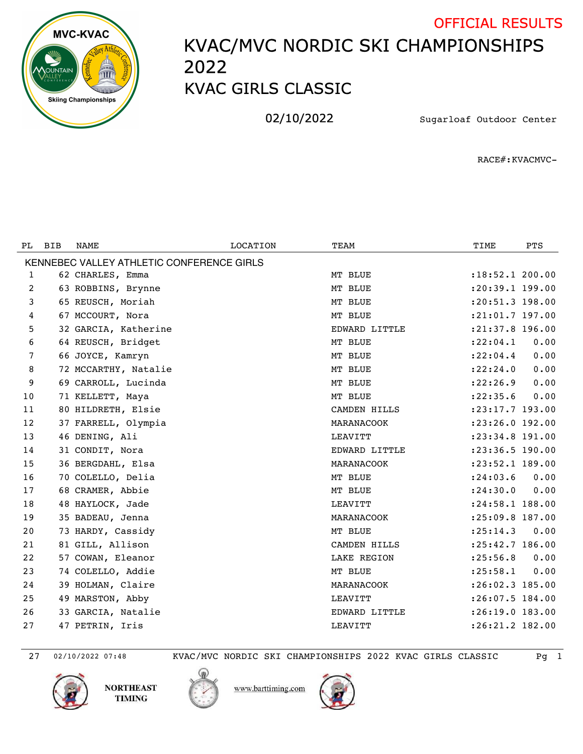

## KVAC/MVC NORDIC SKI CHAMPIONSHIPS KVAC GIRLS CLASSIC OFFICIAL RESULTS

02/10/2022 Sugarloaf Outdoor Center

RACE#:KVACMVC-

| PL. | <b>BIB</b> | <b>NAME</b>                               | <b>LOCATION</b> | TEAM          | TIME                | <b>PTS</b> |
|-----|------------|-------------------------------------------|-----------------|---------------|---------------------|------------|
|     |            | KENNEBEC VALLEY ATHLETIC CONFERENCE GIRLS |                 |               |                     |            |
| 1   |            | 62 CHARLES, Emma                          |                 | MT BLUE       | $: 18:52.1$ 200.00  |            |
| 2   |            | 63 ROBBINS, Brynne                        |                 | MT BLUE       | :20:39.1 199.00     |            |
| 3   |            | 65 REUSCH, Moriah                         |                 | MT BLUE       | $: 20: 51.3$ 198.00 |            |
| 4   |            | 67 MCCOURT, Nora                          |                 | MT BLUE       | :21:01.7 197.00     |            |
| 5   |            | 32 GARCIA, Katherine                      |                 | EDWARD LITTLE | :21:37.8 196.00     |            |
| 6   |            | 64 REUSCH, Bridget                        |                 | MT BLUE       | : 22:04.1           | 0.00       |
| 7   |            | 66 JOYCE, Kamryn                          |                 | MT BLUE       | : 22:04.4           | 0.00       |
| 8   |            | 72 MCCARTHY, Natalie                      |                 | MT BLUE       | : 22: 24.0          | 0.00       |
| 9   |            | 69 CARROLL, Lucinda                       |                 | MT BLUE       | : 22: 26.9          | 0.00       |
| 10  |            | 71 KELLETT, Maya                          |                 | MT BLUE       | : 22: 35.6          | 0.00       |
| 11  |            | 80 HILDRETH, Elsie                        |                 | CAMDEN HILLS  | $: 23: 17.7$ 193.00 |            |
| 12  |            | 37 FARRELL, Olympia                       |                 | MARANACOOK    | :23:26.0 192.00     |            |
| 13  |            | 46 DENING, Ali                            |                 | LEAVITT       | :23:34.8 191.00     |            |
| 14  |            | 31 CONDIT, Nora                           |                 | EDWARD LITTLE | :23:36.5 190.00     |            |
| 15  |            | 36 BERGDAHL, Elsa                         |                 | MARANACOOK    | :23:52.1 189.00     |            |
| 16  |            | 70 COLELLO, Delia                         |                 | MT BLUE       | : 24:03.6           | 0.00       |
| 17  |            | 68 CRAMER, Abbie                          |                 | MT BLUE       | : 24:30.0           | 0.00       |
| 18  |            | 48 HAYLOCK, Jade                          |                 | LEAVITT       | :24:58.1 188.00     |            |
| 19  |            | 35 BADEAU, Jenna                          |                 | MARANACOOK    | $: 25:09.8$ 187.00  |            |
| 20  |            | 73 HARDY, Cassidy                         |                 | MT BLUE       | : 25: 14.3          | 0.00       |
| 21  |            | 81 GILL, Allison                          |                 | CAMDEN HILLS  | :25:42.7 186.00     |            |
| 22  |            | 57 COWAN, Eleanor                         |                 | LAKE REGION   | : 25:56.8           | 0.00       |
| 23  |            | 74 COLELLO, Addie                         |                 | MT BLUE       | : 25:58.1           | 0.00       |
| 24  |            | 39 HOLMAN, Claire                         |                 | MARANACOOK    | $: 26:02.3$ 185.00  |            |
| 25  |            | 49 MARSTON, Abby                          |                 | LEAVITT       | :26:07.5 184.00     |            |
| 26  |            | 33 GARCIA, Natalie                        |                 | EDWARD LITTLE | : 26:19.0 183.00    |            |
| 27  |            | 47 PETRIN, Iris                           |                 | LEAVITT       | :26:21.2 182.00     |            |

02/10/2022 07:48 KVAC/MVC NORDIC SKI CHAMPIONSHIPS 2022 KVAC GIRLS CLASSIC Pg 1

www.barttiming.com





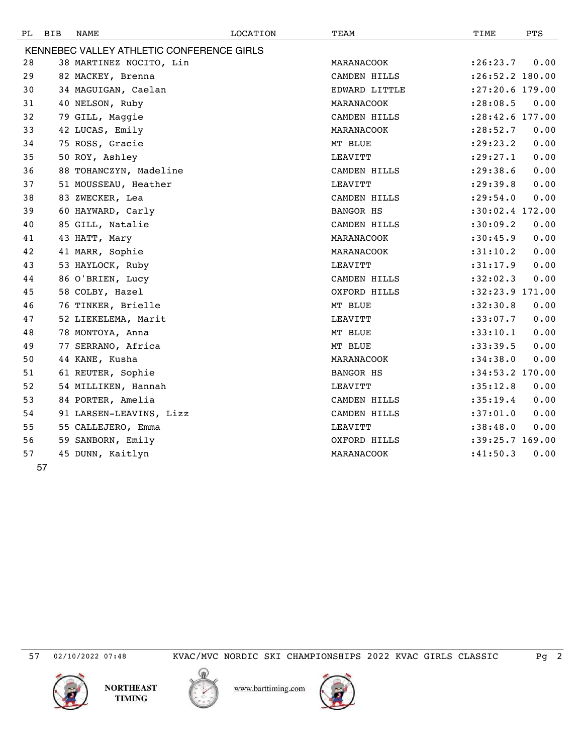| PL. | <b>BIB</b>                                | NAME                    | LOCATION | TEAM          | TIME              | PTS  |  |  |
|-----|-------------------------------------------|-------------------------|----------|---------------|-------------------|------|--|--|
|     | KENNEBEC VALLEY ATHLETIC CONFERENCE GIRLS |                         |          |               |                   |      |  |  |
| 28  |                                           | 38 MARTINEZ NOCITO, Lin |          | MARANACOOK    | : 26: 23.7        | 0.00 |  |  |
| 29  |                                           | 82 MACKEY, Brenna       |          | CAMDEN HILLS  | : 26:52.2 180.00  |      |  |  |
| 30  |                                           | 34 MAGUIGAN, Caelan     |          | EDWARD LITTLE | :27:20.6 179.00   |      |  |  |
| 31  |                                           | 40 NELSON, Ruby         |          | MARANACOOK    | : 28:08.5         | 0.00 |  |  |
| 32  |                                           | 79 GILL, Maggie         |          | CAMDEN HILLS  | :28:42.6 177.00   |      |  |  |
| 33  |                                           | 42 LUCAS, Emily         |          | MARANACOOK    | : 28:52.7         | 0.00 |  |  |
| 34  |                                           | 75 ROSS, Gracie         |          | MT BLUE       | : 29: 23.2        | 0.00 |  |  |
| 35  |                                           | 50 ROY, Ashley          |          | LEAVITT       | : 29: 27.1        | 0.00 |  |  |
| 36  |                                           | 88 TOHANCZYN, Madeline  |          | CAMDEN HILLS  | : 29:38.6         | 0.00 |  |  |
| 37  |                                           | 51 MOUSSEAU, Heather    |          | LEAVITT       | : 29:39.8         | 0.00 |  |  |
| 38  |                                           | 83 ZWECKER, Lea         |          | CAMDEN HILLS  | : 29:54.0         | 0.00 |  |  |
| 39  |                                           | 60 HAYWARD, Carly       |          | BANGOR HS     | :30:02.4 172.00   |      |  |  |
| 40  |                                           | 85 GILL, Natalie        |          | CAMDEN HILLS  | :30:09.2          | 0.00 |  |  |
| 41  |                                           | 43 HATT, Mary           |          | MARANACOOK    | :30:45.9          | 0.00 |  |  |
| 42  |                                           | 41 MARR, Sophie         |          | MARANACOOK    | :31:10.2          | 0.00 |  |  |
| 43  |                                           | 53 HAYLOCK, Ruby        |          | LEAVITT       | :31:17.9          | 0.00 |  |  |
| 44  |                                           | 86 O'BRIEN, Lucy        |          | CAMDEN HILLS  | :32:02.3          | 0.00 |  |  |
| 45  |                                           | 58 COLBY, Hazel         |          | OXFORD HILLS  | $:32:23.9$ 171.00 |      |  |  |
| 46  |                                           | 76 TINKER, Brielle      |          | MT BLUE       | :32:30.8          | 0.00 |  |  |
| 47  |                                           | 52 LIEKELEMA, Marit     |          | LEAVITT       | :33:07.7          | 0.00 |  |  |
| 48  |                                           | 78 MONTOYA, Anna        |          | MT BLUE       | : 33: 10.1        | 0.00 |  |  |
| 49  |                                           | 77 SERRANO, Africa      |          | MT BLUE       | :33:39.5          | 0.00 |  |  |
| 50  |                                           | 44 KANE, Kusha          |          | MARANACOOK    | : 34:38.0         | 0.00 |  |  |
| 51  |                                           | 61 REUTER, Sophie       |          | BANGOR HS     | $:34:53.2$ 170.00 |      |  |  |
| 52  |                                           | 54 MILLIKEN, Hannah     |          | LEAVITT       | :35:12.8          | 0.00 |  |  |
| 53  |                                           | 84 PORTER, Amelia       |          | CAMDEN HILLS  | :35:19.4          | 0.00 |  |  |
| 54  |                                           | 91 LARSEN-LEAVINS, Lizz |          | CAMDEN HILLS  | :37:01.0          | 0.00 |  |  |
| 55  |                                           | 55 CALLEJERO, Emma      |          | LEAVITT       | :38:48.0          | 0.00 |  |  |
| 56  |                                           | 59 SANBORN, Emily       |          | OXFORD HILLS  | :39:25.7 169.00   |      |  |  |
| 57  |                                           | 45 DUNN, Kaitlyn        |          | MARANACOOK    | :41:50.3          | 0.00 |  |  |

02/10/2022 07:48 KVAC/MVC NORDIC SKI CHAMPIONSHIPS 2022 KVAC GIRLS CLASSIC Pg 2